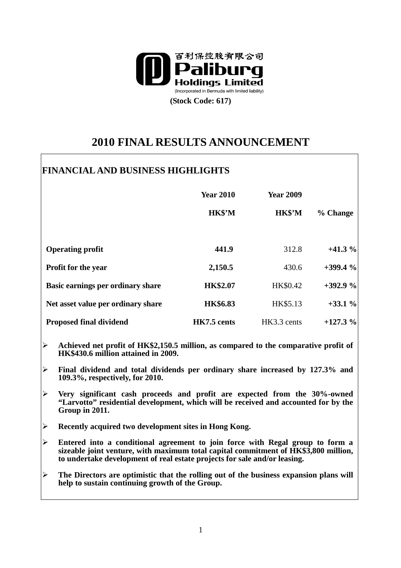

**(Stock Code: 617)** 

# **2010 FINAL RESULTS ANNOUNCEMENT**

## **FINANCIAL AND BUSINESS HIGHLIGHTS**

|                                    | <b>Year 2010</b><br>HK\$'M | <b>Year 2009</b><br>HK\$'M | % Change  |
|------------------------------------|----------------------------|----------------------------|-----------|
|                                    |                            |                            |           |
| <b>Operating profit</b>            | 441.9                      | 312.8                      | $+41.3%$  |
| <b>Profit for the year</b>         | 2,150.5                    | 430.6                      | $+399.4%$ |
| Basic earnings per ordinary share  | <b>HK\$2.07</b>            | HK\$0.42                   | $+392.9%$ |
| Net asset value per ordinary share | <b>HK\$6.83</b>            | HK\$5.13                   | $+33.1%$  |
| <b>Proposed final dividend</b>     | HK7.5 cents                | HK3.3 cents                | $+127.3%$ |

- **Achieved net profit of HK\$2,150.5 million, as compared to the comparative profit of HK\$430.6 million attained in 2009.**
- **Final dividend and total dividends per ordinary share increased by 127.3% and 109.3%, respectively, for 2010.**
- **Very significant cash proceeds and profit are expected from the 30%-owned "Larvotto" residential development, which will be received and accounted for by the Group in 2011.**
- **Recently acquired two development sites in Hong Kong.**
- **Entered into a conditional agreement to join force with Regal group to form a sizeable joint venture, with maximum total capital commitment of HK\$3,800 million, to undertake development of real estate projects for sale and/or leasing.**
- **The Directors are optimistic that the rolling out of the business expansion plans will help to sustain continuing growth of the Group.**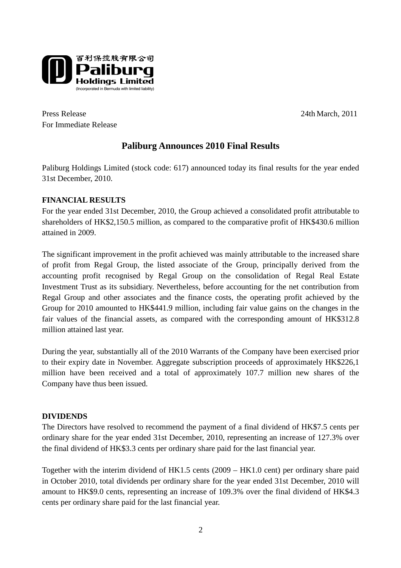

Press Release 24th March, 2011 For Immediate Release

### **Paliburg Announces 2010 Final Results**

Paliburg Holdings Limited (stock code: 617) announced today its final results for the year ended 31st December, 2010.

### **FINANCIAL RESULTS**

For the year ended 31st December, 2010, the Group achieved a consolidated profit attributable to shareholders of HK\$2,150.5 million, as compared to the comparative profit of HK\$430.6 million attained in 2009.

The significant improvement in the profit achieved was mainly attributable to the increased share of profit from Regal Group, the listed associate of the Group, principally derived from the accounting profit recognised by Regal Group on the consolidation of Regal Real Estate Investment Trust as its subsidiary. Nevertheless, before accounting for the net contribution from Regal Group and other associates and the finance costs, the operating profit achieved by the Group for 2010 amounted to HK\$441.9 million, including fair value gains on the changes in the fair values of the financial assets, as compared with the corresponding amount of HK\$312.8 million attained last year.

During the year, substantially all of the 2010 Warrants of the Company have been exercised prior to their expiry date in November. Aggregate subscription proceeds of approximately HK\$226,1 million have been received and a total of approximately 107.7 million new shares of the Company have thus been issued.

#### **DIVIDENDS**

The Directors have resolved to recommend the payment of a final dividend of HK\$7.5 cents per ordinary share for the year ended 31st December, 2010, representing an increase of 127.3% over the final dividend of HK\$3.3 cents per ordinary share paid for the last financial year.

Together with the interim dividend of HK1.5 cents (2009 – HK1.0 cent) per ordinary share paid in October 2010, total dividends per ordinary share for the year ended 31st December, 2010 will amount to HK\$9.0 cents, representing an increase of 109.3% over the final dividend of HK\$4.3 cents per ordinary share paid for the last financial year.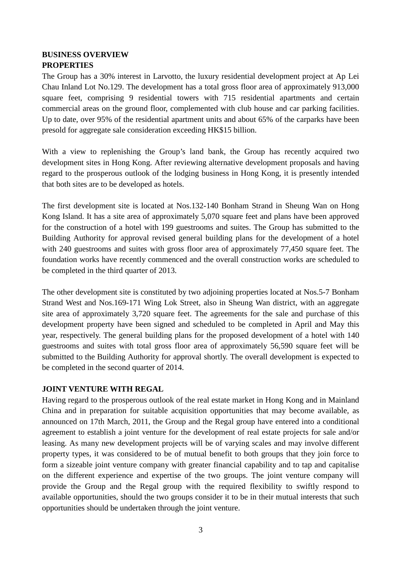#### **BUSINESS OVERVIEW PROPERTIES**

The Group has a 30% interest in Larvotto, the luxury residential development project at Ap Lei Chau Inland Lot No.129. The development has a total gross floor area of approximately 913,000 square feet, comprising 9 residential towers with 715 residential apartments and certain commercial areas on the ground floor, complemented with club house and car parking facilities. Up to date, over 95% of the residential apartment units and about 65% of the carparks have been presold for aggregate sale consideration exceeding HK\$15 billion.

With a view to replenishing the Group's land bank, the Group has recently acquired two development sites in Hong Kong. After reviewing alternative development proposals and having regard to the prosperous outlook of the lodging business in Hong Kong, it is presently intended that both sites are to be developed as hotels.

The first development site is located at Nos.132-140 Bonham Strand in Sheung Wan on Hong Kong Island. It has a site area of approximately 5,070 square feet and plans have been approved for the construction of a hotel with 199 guestrooms and suites. The Group has submitted to the Building Authority for approval revised general building plans for the development of a hotel with 240 guestrooms and suites with gross floor area of approximately 77,450 square feet. The foundation works have recently commenced and the overall construction works are scheduled to be completed in the third quarter of 2013.

The other development site is constituted by two adjoining properties located at Nos.5-7 Bonham Strand West and Nos.169-171 Wing Lok Street, also in Sheung Wan district, with an aggregate site area of approximately 3,720 square feet. The agreements for the sale and purchase of this development property have been signed and scheduled to be completed in April and May this year, respectively. The general building plans for the proposed development of a hotel with 140 guestrooms and suites with total gross floor area of approximately 56,590 square feet will be submitted to the Building Authority for approval shortly. The overall development is expected to be completed in the second quarter of 2014.

#### **JOINT VENTURE WITH REGAL**

Having regard to the prosperous outlook of the real estate market in Hong Kong and in Mainland China and in preparation for suitable acquisition opportunities that may become available, as announced on 17th March, 2011, the Group and the Regal group have entered into a conditional agreement to establish a joint venture for the development of real estate projects for sale and/or leasing. As many new development projects will be of varying scales and may involve different property types, it was considered to be of mutual benefit to both groups that they join force to form a sizeable joint venture company with greater financial capability and to tap and capitalise on the different experience and expertise of the two groups. The joint venture company will provide the Group and the Regal group with the required flexibility to swiftly respond to available opportunities, should the two groups consider it to be in their mutual interests that such opportunities should be undertaken through the joint venture.